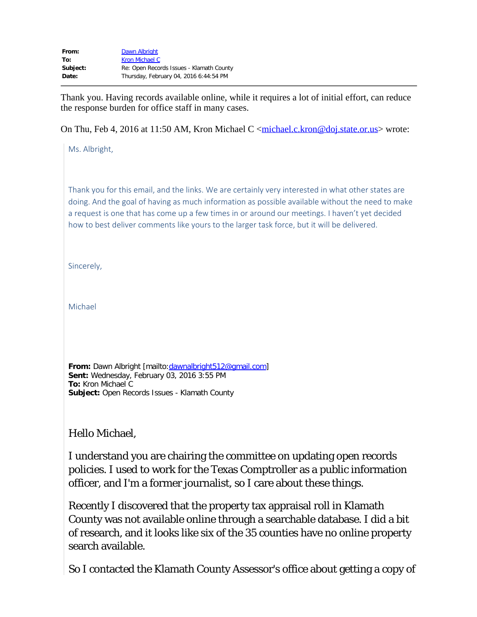| From:    | Dawn Albright                            |
|----------|------------------------------------------|
| To:      | Kron Michael C                           |
| Subject: | Re: Open Records Issues - Klamath County |
| Date:    | Thursday, February 04, 2016 6:44:54 PM   |

Thank you. Having records available online, while it requires a lot of initial effort, can reduce the response burden for office staff in many cases.

On Thu, Feb 4, 2016 at 11:50 AM, Kron Michael C [<michael.c.kron@doj.state.or.us](mailto:michael.c.kron@doj.state.or.us)> wrote:

Ms. Albright,

Thank you for this email, and the links. We are certainly very interested in what other states are doing. And the goal of having as much information as possible available without the need to make a request is one that has come up a few times in or around our meetings. I haven't yet decided how to best deliver comments like yours to the larger task force, but it will be delivered.

Sincerely,

Michael

**From:** Dawn Albright [mailto:[dawnalbright512@gmail.com\]](mailto:dawnalbright512@gmail.com) **Sent:** Wednesday, February 03, 2016 3:55 PM **To:** Kron Michael C **Subject:** Open Records Issues - Klamath County

Hello Michael,

I understand you are chairing the committee on updating open records policies. I used to work for the Texas Comptroller as a public information officer, and I'm a former journalist, so I care about these things.

Recently I discovered that the property tax appraisal roll in Klamath County was not available online through a searchable database. I did a bit of research, and it looks like six of the 35 counties have no online property search available.

So I contacted the Klamath County Assessor's office about getting a copy of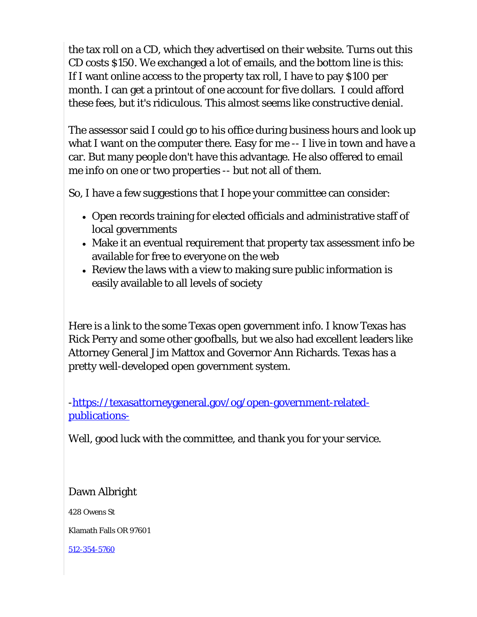the tax roll on a CD, which they advertised on their website. Turns out this CD costs \$150. We exchanged a lot of emails, and the bottom line is this: If I want online access to the property tax roll, I have to pay \$100 per month. I can get a printout of one account for five dollars. I could afford these fees, but it's ridiculous. This almost seems like constructive denial.

The assessor said I could go to his office during business hours and look up what I want on the computer there. Easy for me -- I live in town and have a car. But many people don't have this advantage. He also offered to email me info on one or two properties -- but not all of them.

So, I have a few suggestions that I hope your committee can consider:

- Open records training for elected officials and administrative staff of local governments
- Make it an eventual requirement that property tax assessment info be available for free to everyone on the web
- Review the laws with a view to making sure public information is easily available to all levels of society

Here is a link to the some Texas open government info. I know Texas has Rick Perry and some other goofballs, but we also had excellent leaders like Attorney General Jim Mattox and Governor Ann Richards. Texas has a pretty well-developed open government system.

[-https://texasattorneygeneral.gov/og/open-government-related](https://texasattorneygeneral.gov/og/open-government-related-publications-)[publications-](https://texasattorneygeneral.gov/og/open-government-related-publications-)

Well, good luck with the committee, and thank you for your service.

Dawn Albright

428 Owens St

Klamath Falls OR 97601

[512-354-5760](tel:512-354-5760)